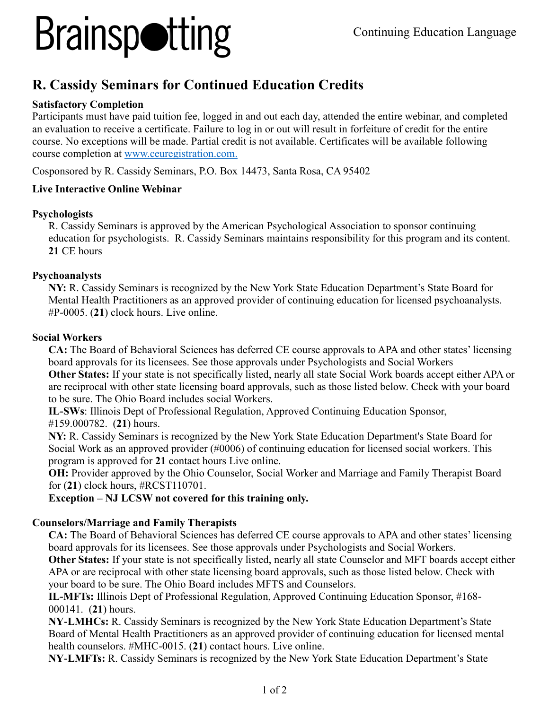## **Brainspotting**

### **R. Cassidy Seminars for Continued Education Credits**

#### **Satisfactory Completion**

Participants must have paid tuition fee, logged in and out each day, attended the entire webinar, and completed an evaluation to receive a certificate. Failure to log in or out will result in forfeiture of credit for the entire course. No exceptions will be made. Partial credit is not available. Certificates will be available following course completion at [www.ceuregistration.com.](http://www.ceuregistration.com/)

Cosponsored by R. Cassidy Seminars, P.O. Box 14473, Santa Rosa, CA 95402

#### **Live Interactive Online Webinar**

#### **Psychologists**

R. Cassidy Seminars is approved by the American Psychological Association to sponsor continuing education for psychologists. R. Cassidy Seminars maintains responsibility for this program and its content. **21** CE hours

#### **Psychoanalysts**

**NY:** R. Cassidy Seminars is recognized by the New York State Education Department's State Board for Mental Health Practitioners as an approved provider of continuing education for licensed psychoanalysts. #P-0005. (**21**) clock hours. Live online.

#### **Social Workers**

**CA:** The Board of Behavioral Sciences has deferred CE course approvals to APA and other states' licensing board approvals for its licensees. See those approvals under Psychologists and Social Workers

**Other States:** If your state is not specifically listed, nearly all state Social Work boards accept either APA or are reciprocal with other state licensing board approvals, such as those listed below. Check with your board to be sure. The Ohio Board includes social Workers.

**IL-SWs**: Illinois Dept of Professional Regulation, Approved Continuing Education Sponsor, #159.000782. (**21**) hours.

**NY:** R. Cassidy Seminars is recognized by the New York State Education Department's State Board for Social Work as an approved provider (#0006) of continuing education for licensed social workers. This program is approved for **21** contact hours Live online.

**OH:** Provider approved by the Ohio Counselor, Social Worker and Marriage and Family Therapist Board for (**21**) clock hours, #RCST110701.

**Exception – NJ LCSW not covered for this training only.**

#### **Counselors/Marriage and Family Therapists**

**CA:** The Board of Behavioral Sciences has deferred CE course approvals to APA and other states' licensing board approvals for its licensees. See those approvals under Psychologists and Social Workers.

**Other States:** If your state is not specifically listed, nearly all state Counselor and MFT boards accept either APA or are reciprocal with other state licensing board approvals, such as those listed below. Check with your board to be sure. The Ohio Board includes MFTS and Counselors.

**IL-MFTs:** Illinois Dept of Professional Regulation, Approved Continuing Education Sponsor, #168- 000141. (**21**) hours.

**NY-LMHCs:** R. Cassidy Seminars is recognized by the New York State Education Department's State Board of Mental Health Practitioners as an approved provider of continuing education for licensed mental health counselors. #MHC-0015. (**21**) contact hours. Live online.

**NY-LMFTs:** R. Cassidy Seminars is recognized by the New York State Education Department's State